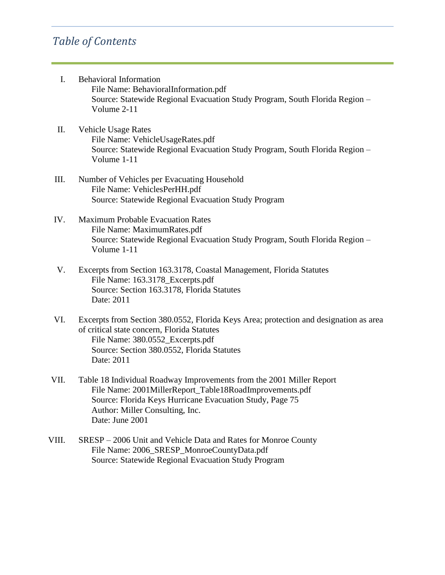- I. Behavioral Information File Name: BehavioralInformation.pdf Source: Statewide Regional Evacuation Study Program, South Florida Region – Volume 2-11
- II. Vehicle Usage Rates File Name: VehicleUsageRates.pdf Source: Statewide Regional Evacuation Study Program, South Florida Region – Volume 1-11
- III. Number of Vehicles per Evacuating Household File Name: VehiclesPerHH.pdf Source: Statewide Regional Evacuation Study Program
- IV. Maximum Probable Evacuation Rates File Name: MaximumRates.pdf Source: Statewide Regional Evacuation Study Program, South Florida Region – Volume 1-11
- V. Excerpts from Section 163.3178, Coastal Management, Florida Statutes File Name: 163.3178\_Excerpts.pdf Source: Section 163.3178, Florida Statutes Date: 2011
- VI. Excerpts from Section 380.0552, Florida Keys Area; protection and designation as area of critical state concern, Florida Statutes File Name: 380.0552\_Excerpts.pdf Source: Section 380.0552, Florida Statutes Date: 2011
- VII. Table 18 Individual Roadway Improvements from the 2001 Miller Report File Name: 2001MillerReport\_Table18RoadImprovements.pdf Source: Florida Keys Hurricane Evacuation Study, Page 75 Author: Miller Consulting, Inc. Date: June 2001
- VIII. SRESP 2006 Unit and Vehicle Data and Rates for Monroe County File Name: 2006 SRESP\_MonroeCountyData.pdf Source: Statewide Regional Evacuation Study Program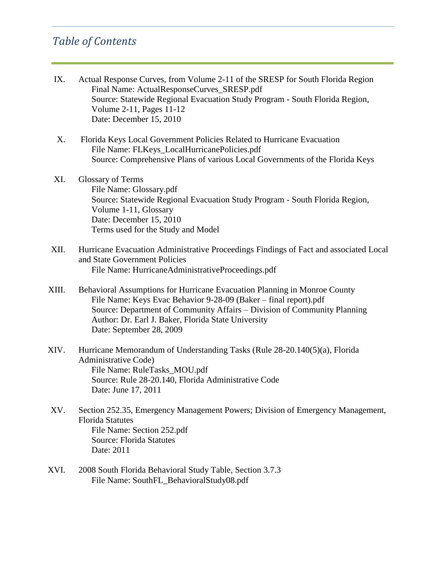- IX. Actual Response Curves, from Volume 2-11 of the SRESP for South Florida Region Final Name: ActualResponseCurves\_SRESP.pdf Source: Statewide Regional Evacuation Study Program - South Florida Region, Volume 2-11, Pages 11-12 Date: December 15, 2010
- X. Florida Keys Local Government Policies Related to Hurricane Evacuation File Name: FLKeys\_LocalHurricanePolicies.pdf Source: Comprehensive Plans of various Local Governments of the Florida Keys
- XI. Glossary of Terms File Name: Glossary.pdf Source: Statewide Regional Evacuation Study Program - South Florida Region, Volume 1-11, Glossary Date: December 15, 2010 Terms used for the Study and Model
- XII. Hurricane Evacuation Administrative Proceedings Findings of Fact and associated Local and State Government Policies File Name: HurricaneAdministrativeProceedings.pdf
- XIII. Behavioral Assumptions for Hurricane Evacuation Planning in Monroe County File Name: Keys Evac Behavior 9-28-09 (Baker – final report).pdf Source: Department of Community Affairs – Division of Community Planning Author: Dr. Earl J. Baker, Florida State University Date: September 28, 2009
- XIV. Hurricane Memorandum of Understanding Tasks (Rule 28-20.140(5)(a), Florida Administrative Code) File Name: RuleTasks\_MOU.pdf Source: Rule 28-20.140, Florida Administrative Code Date: June 17, 2011
- XV. Section 252.35, Emergency Management Powers; Division of Emergency Management, Florida Statutes File Name: Section 252.pdf Source: Florida Statutes Date: 2011
- XVI. 2008 South Florida Behavioral Study Table, Section 3.7.3 File Name: SouthFL\_BehavioralStudy08.pdf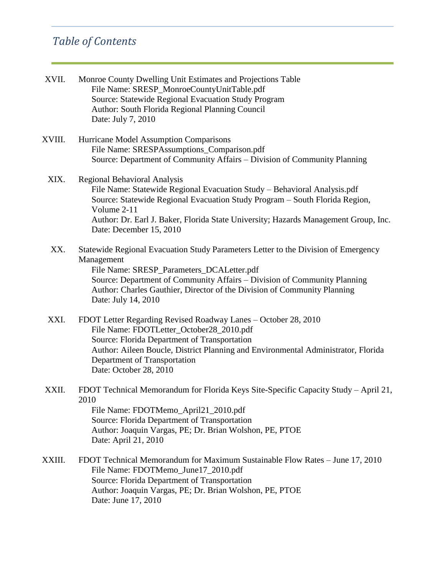| XVII.  | Monroe County Dwelling Unit Estimates and Projections Table<br>File Name: SRESP_MonroeCountyUnitTable.pdf<br>Source: Statewide Regional Evacuation Study Program<br>Author: South Florida Regional Planning Council<br>Date: July 7, 2010                                                                                       |
|--------|---------------------------------------------------------------------------------------------------------------------------------------------------------------------------------------------------------------------------------------------------------------------------------------------------------------------------------|
| XVIII. | Hurricane Model Assumption Comparisons<br>File Name: SRESPAssumptions_Comparison.pdf<br>Source: Department of Community Affairs – Division of Community Planning                                                                                                                                                                |
| XIX.   | <b>Regional Behavioral Analysis</b><br>File Name: Statewide Regional Evacuation Study - Behavioral Analysis.pdf<br>Source: Statewide Regional Evacuation Study Program - South Florida Region,<br>Volume 2-11<br>Author: Dr. Earl J. Baker, Florida State University; Hazards Management Group, Inc.<br>Date: December 15, 2010 |
| XX.    | Statewide Regional Evacuation Study Parameters Letter to the Division of Emergency<br>Management<br>File Name: SRESP_Parameters_DCALetter.pdf<br>Source: Department of Community Affairs - Division of Community Planning<br>Author: Charles Gauthier, Director of the Division of Community Planning<br>Date: July 14, 2010    |
| XXI.   | FDOT Letter Regarding Revised Roadway Lanes - October 28, 2010<br>File Name: FDOTLetter_October28_2010.pdf<br>Source: Florida Department of Transportation<br>Author: Aileen Boucle, District Planning and Environmental Administrator, Florida<br>Department of Transportation<br>Date: October 28, 2010                       |
| XXII.  | FDOT Technical Memorandum for Florida Keys Site-Specific Capacity Study - April 21,<br>2010<br>File Name: FDOTMemo_April21_2010.pdf<br>Source: Florida Department of Transportation<br>Author: Joaquin Vargas, PE; Dr. Brian Wolshon, PE, PTOE<br>Date: April 21, 2010                                                          |
| XXIII. | FDOT Technical Memorandum for Maximum Sustainable Flow Rates – June 17, 2010<br>File Name: FDOTMemo_June17_2010.pdf<br>Source: Florida Department of Transportation<br>Author: Joaquin Vargas, PE; Dr. Brian Wolshon, PE, PTOE<br>Date: June 17, 2010                                                                           |